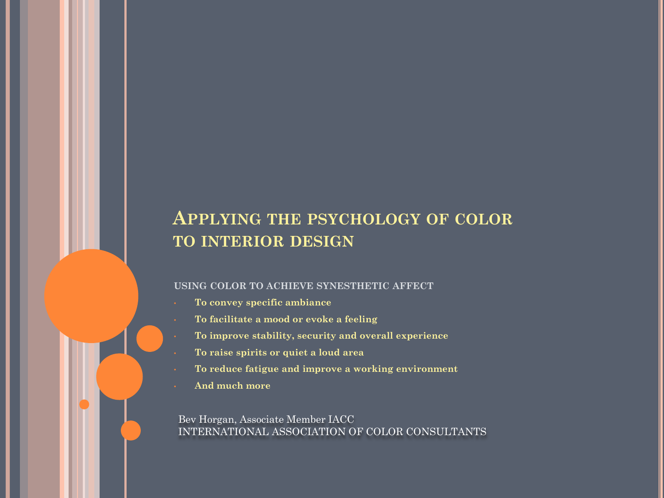## **APPLYING THE PSYCHOLOGY OF COLOR TO INTERIOR DESIGN**

#### **USING COLOR TO ACHIEVE SYNESTHETIC AFFECT**

- **To convey specific ambiance**
- **To facilitate a mood or evoke a feeling**
- **To improve stability, security and overall experience**
- **To raise spirits or quiet a loud area**
- **To reduce fatigue and improve a working environment**
- **And much more**

Bev Horgan, Associate Member IACC INTERNATIONAL ASSOCIATION OF COLOR CONSULTANTS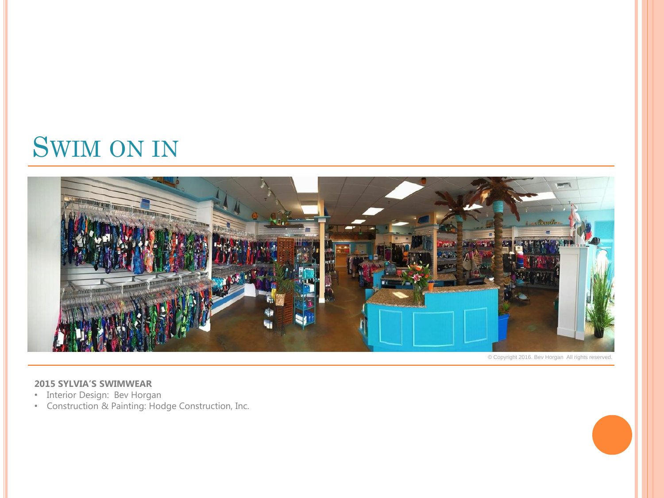# SWIM ON IN



© Copyright 2016. Bev Horgan All rights reserved.

#### **2015 SYLVIA'S SWIMWEAR**

- Interior Design: Bev Horgan
- Construction & Painting: Hodge Construction, Inc.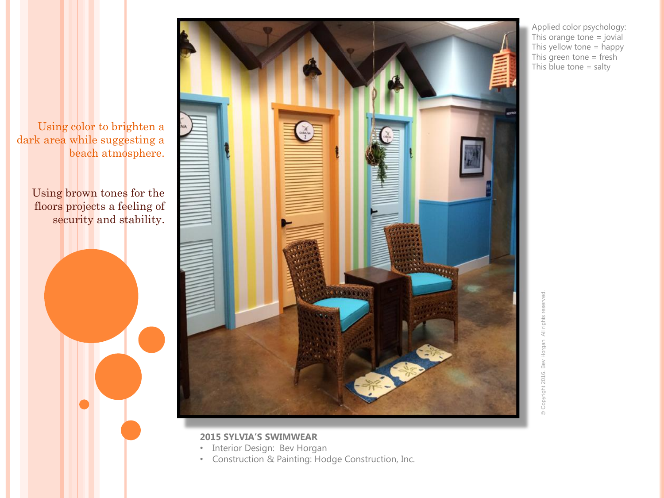

Using color to brighten a dark area while suggesting a beach atmosphere.

> Using brown tones for the floors projects a feeling of security and stability.

Applied color psychology: This orange tone = jovial This yellow tone = happy This green tone = fresh This blue tone  $=$  salty

### **2015 SYLVIA'S SWIMWEAR**

- Interior Design: Bev Horgan
- Construction & Painting: Hodge Construction, Inc.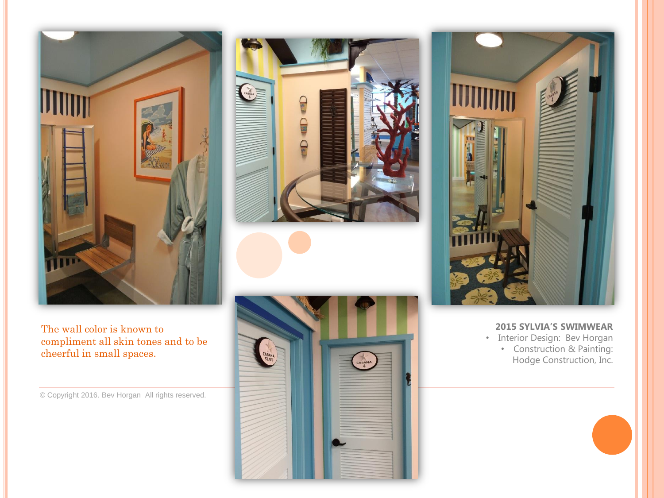

The wall color is known to compliment all skin tones and to be cheerful in small spaces.

© Copyright 2016. Bev Horgan All rights reserved.







#### **2015 SYLVIA'S SWIMWEAR**

• Interior Design: Bev Horgan • Construction & Painting: Hodge Construction, Inc.